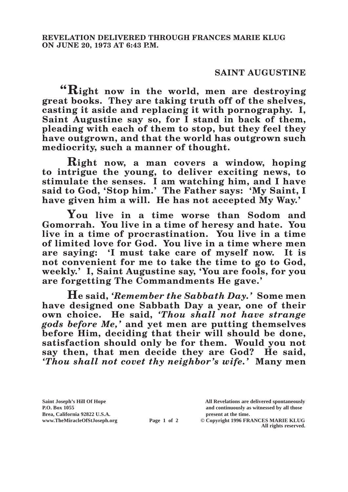## **SAINT AUGUSTINE**

**"Right now in the world, men are destroying great books. They are taking truth off of the shelves, casting it aside and replacing it with pornography. I, Saint Augustine say so, for I stand in back of them, pleading with each of them to stop, but they feel they have outgrown, and that the world has outgrown such mediocrity, such a manner of thought.**

**Right now, a man covers a window, hoping to intrigue the young, to deliver exciting news, to stimulate the senses. I am watching him, and I have said to God, 'Stop him.' The Father says: 'My Saint, I have given him a will. He has not accepted My Way.'**

**You live in a time worse than Sodom and Gomorrah. You live in a time of heresy and hate. You live in a time of procrastination. You live in a time of limited love for God. You live in a time where men are saying: 'I must take care of myself now. It is not convenient for me to take the time to go to God,**  weekly.' I, Saint Augustine say, 'You are fools, for you **are forgetting The Commandments He gave.'**

**He said,** *'Remember the Sabbath Day.'* **Some men have designed one Sabbath Day a year, one of their own choice. He said,** *'Thou shall not have strange gods before Me,'* **and yet men are putting themselves before Him, deciding that their will should be done, satisfaction should only be for them. Would you not say then, that men decide they are God? He said,**  *'Thou shall not covet thy neighbor's wife.'* **Many men** 

**Brea, California 92822 U.S.A. present at the time.**<br> **present at the time.**<br> **present at the time.**<br> **Page 1 of 2** © Copyright 1996 FR.

**Saint Joseph's Hill Of Hope All Revelations are delivered spontaneously P.O. Box 1055 and continuously as witnessed by all those** 

**Page 1 of 2** © Copyright 1996 FRANCES MARIE KLUG **All rights reserved.**